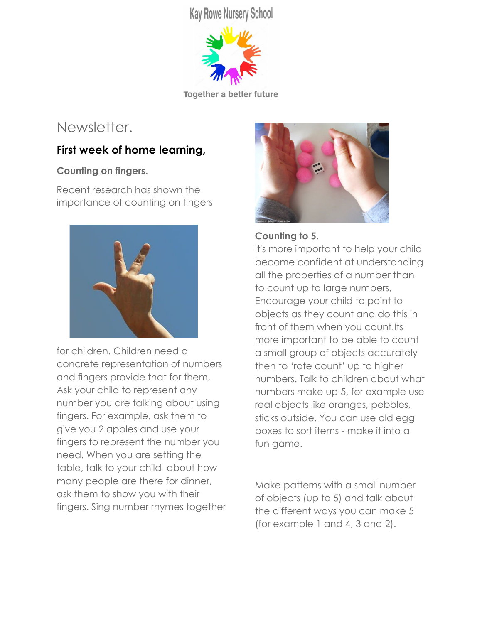**Kay Rowe Nursery School** 



**Together a better future** 

# Newsletter.

# **First week of home learning,**

## **Counting on fingers.**

Recent research has shown the importance of counting on fingers



for children. Children need a concrete representation of numbers and fingers provide that for them, Ask your child to represent any number you are talking about using fingers. For example, ask them to give you 2 apples and use your fingers to represent the number you need. When you are setting the table, talk to your child about how many people are there for dinner, ask them to show you with their fingers. Sing number rhymes together



## **Counting to 5.**

It's more important to help your child become confident at understanding all the properties of a number than to count up to large numbers, Encourage your child to point to objects as they count and do this in front of them when you count.Its more important to be able to count a small group of objects accurately then to 'rote count' up to higher numbers. Talk to children about what numbers make up 5, for example use real objects like oranges, pebbles, sticks outside. You can use old egg boxes to sort items - make it into a fun game.

Make patterns with a small number of objects (up to 5) and talk about the different ways you can make 5 (for example 1 and 4, 3 and 2).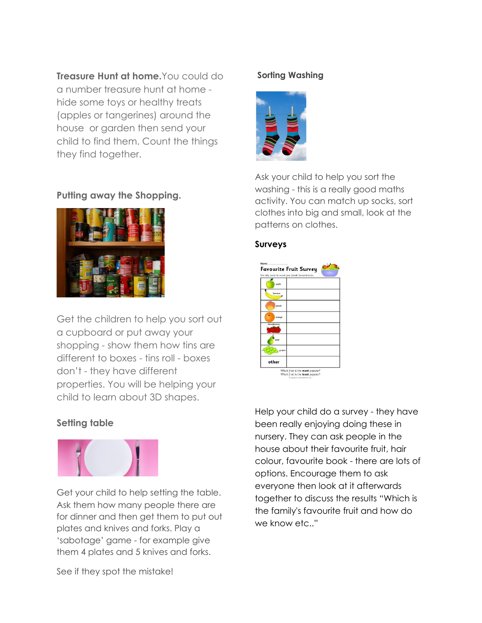**Treasure Hunt at home.**You could do a number treasure hunt at home hide some toys or healthy treats (apples or tangerines) around the house or garden then send your child to find them. Count the things they find together.

## **Putting away the Shopping.**



Get the children to help you sort out a cupboard or put away your shopping - show them how tins are different to boxes - tins roll - boxes don't - they have different properties. You will be helping your child to learn about 3D shapes.

## **Setting table**



Get your child to help setting the table. Ask them how many people there are for dinner and then get them to put out plates and knives and forks. Play a 'sabotage' game - for example give them 4 plates and 5 knives and forks.

# See if they spot the mistake!

#### **Sorting Washing**



Ask your child to help you sort the washing - this is a really good maths activity. You can match up socks, sort clothes into big and small, look at the patterns on clothes.

#### **Surveys**

| opple        |  |
|--------------|--|
| benana       |  |
| peach        |  |
| orange       |  |
| strawberries |  |
| pear         |  |
| grapes       |  |
| other        |  |

Help your child do a survey - they have been really enjoying doing these in nursery. They can ask people in the house about their favourite fruit, hair colour, favourite book - there are lots of options. Encourage them to ask everyone then look at it afterwards together to discuss the results "Which is the family's favourite fruit and how do we know etc.."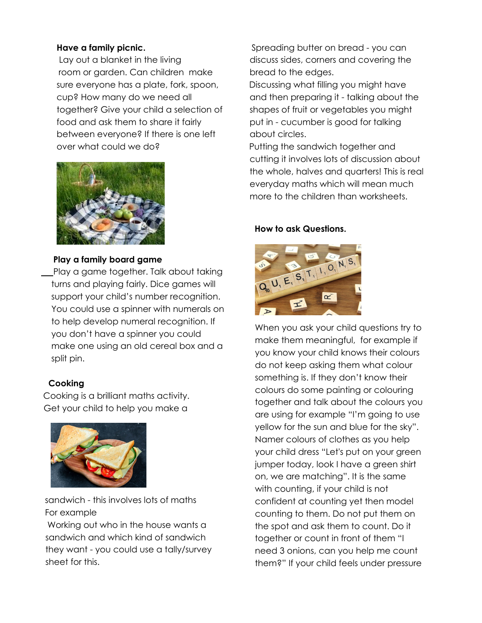### **Have a family picnic.**

Lay out a blanket in the living room or garden. Can children make sure everyone has a plate, fork, spoon, cup? How many do we need all together? Give your child a selection of food and ask them to share it fairly between everyone? If there is one left over what could we do?



### **Play a family board game**

Play a game together. Talk about taking turns and playing fairly. Dice games will support your child's number recognition. You could use a spinner with numerals on to help develop numeral recognition. If you don't have a spinner you could make one using an old cereal box and a split pin.

### **Cooking**

Cooking is a brilliant maths activity. Get your child to help you make a



sandwich - this involves lots of maths For example

Working out who in the house wants a sandwich and which kind of sandwich they want - you could use a tally/survey sheet for this.

Spreading butter on bread - you can discuss sides, corners and covering the bread to the edges.

Discussing what filling you might have and then preparing it - talking about the shapes of fruit or vegetables you might put in - cucumber is good for talking about circles.

Putting the sandwich together and cutting it involves lots of discussion about the whole, halves and quarters! This is real everyday maths which will mean much more to the children than worksheets.

### **How to ask Questions.**



When you ask your child questions try to make them meaningful, for example if you know your child knows their colours do not keep asking them what colour something is. If they don't know their colours do some painting or colouring together and talk about the colours you are using for example "I'm going to use yellow for the sun and blue for the sky". Namer colours of clothes as you help your child dress "Let's put on your green jumper today, look I have a green shirt on, we are matching". It is the same with counting, if your child is not confident at counting yet then model counting to them. Do not put them on the spot and ask them to count. Do it together or count in front of them "I need 3 onions, can you help me count them?" If your child feels under pressure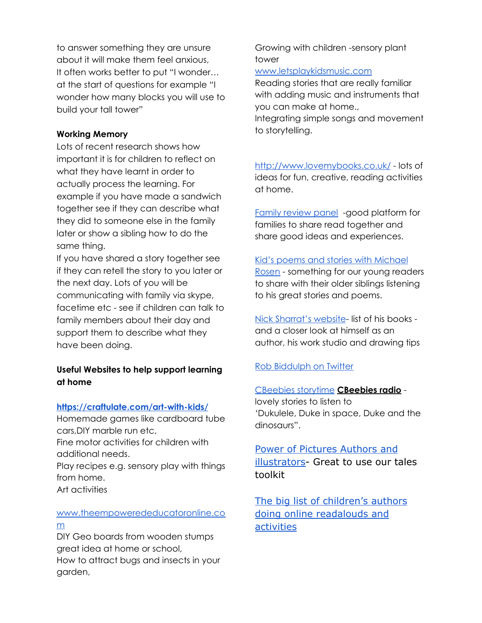to answer something they are unsure about it will make them feel anxious, It often works better to put "I wonder… at the start of questions for example "I wonder how many blocks you will use to build your tall tower"

#### **Working Memory**

Lots of recent research shows how important it is for children to reflect on what they have learnt in order to actually process the learning. For example if you have made a sandwich together see if they can describe what they did to someone else in the family later or show a sibling how to do the same thing.

If you have shared a story together see if they can retell the story to you later or the next day. Lots of you will be communicating with family via skype, facetime etc - see if children can talk to family members about their day and support them to describe what they have been doing.

### **Useful Websites to help support learning at home**

#### **<https://craftulate.com/art-with-kids/>**

Homemade games like cardboard tube cars,DIY marble run etc,

Fine motor activities for children with additional needs.

Play recipes e.g. sensory play with things from home. Art activities

### [www.theempowerededucatoronline.co](http://www.theempowerededucatoronline.com/) [m](http://www.theempowerededucatoronline.com/)

DIY Geo boards from wooden stumps great idea at home or school, How to attract bugs and insects in your

garden,

Growing with children -sensory plant tower

#### [www.letsplaykidsmusic.com](http://www.letsplaykidsmusic.com/)

Reading stories that are really familiar with adding music and instruments that you can make at home.,

Integrating simple songs and movement to storytelling.

<http://www.lovemybooks.co.uk/> - lots of ideas for fun, creative, reading activities at home.

Family [review](http://www.lovemybooks.co.uk/family-review-panel) panel -good platform for families to share read together and share good ideas and experiences.

#### Kid's poems and stories with [Michael](https://www.youtube.com/MichaelRosenOfficial)

[Rosen](https://www.youtube.com/MichaelRosenOfficial) - something for our young readers to share with their older siblings listening to his great stories and poems.

Nick [Sharrat's](http://nicksharratt.com/) website- list of his books and a closer look at himself as an author, his work studio and drawing tips

### Rob [Biddulph](https://twitter.com/RobBiddulph) on Twitter

#### [CBeebies](https://www.bbc.co.uk/cbeebies/stories) storytime **CBeebies radio** -

lovely stories to listen to 'Dukulele, Duke in space, Duke and the dinosaurs".

## [Power of Pictures Authors and](https://clpe.org.uk/powerofpictures/authors-and-illustrators) [illustrators](https://clpe.org.uk/powerofpictures/authors-and-illustrators)- Great to use our tales toolkit

[The big list of children's authors](https://www.weareteachers.com/virtual-author-activities/) [doing online readalouds and](https://www.weareteachers.com/virtual-author-activities/) [activities](https://www.weareteachers.com/virtual-author-activities/)